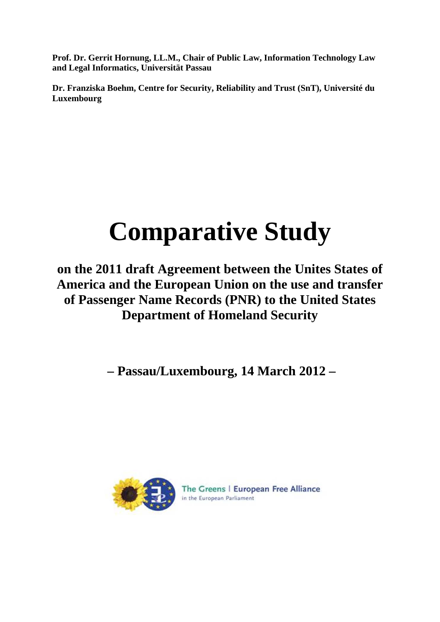**Prof. Dr. Gerrit Hornung, LL.M., Chair of Public Law, Information Technology Law and Legal Informatics, Universität Passau** 

**Dr. Franziska Boehm, Centre for Security, Reliability and Trust (SnT), Université du Luxembourg** 

# **Comparative Study**

**on the 2011 draft Agreement between the Unites States of America and the European Union on the use and transfer of Passenger Name Records (PNR) to the United States Department of Homeland Security** 

 **– Passau/Luxembourg, 14 March 2012 –** 



The Greens | European Free Alliance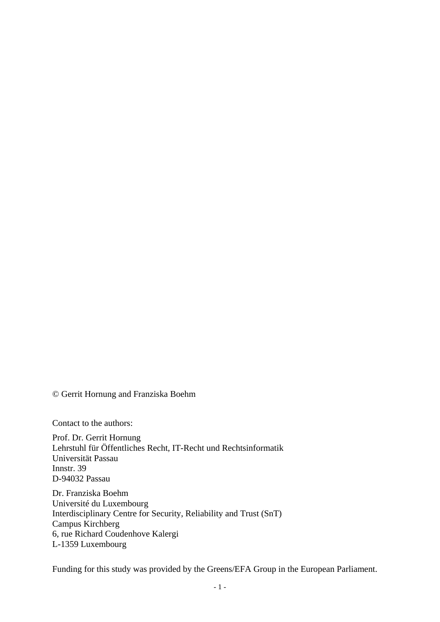© Gerrit Hornung and Franziska Boehm

Contact to the authors:

Prof. Dr. Gerrit Hornung Lehrstuhl für Öffentliches Recht, IT-Recht und Rechtsinformatik Universität Passau Innstr. 39 D-94032 Passau

Dr. Franziska Boehm Université du Luxembourg Interdisciplinary Centre for Security, Reliability and Trust (SnT) Campus Kirchberg 6, rue Richard Coudenhove Kalergi L-1359 Luxembourg

Funding for this study was provided by the Greens/EFA Group in the European Parliament.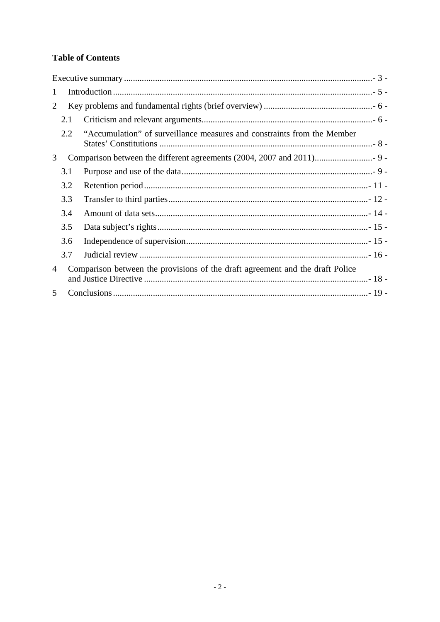# **Table of Contents**

| $\mathbf{1}$ |     |                                                                               |  |
|--------------|-----|-------------------------------------------------------------------------------|--|
| 2            |     |                                                                               |  |
|              | 2.1 |                                                                               |  |
|              | 2.2 | "Accumulation" of surveillance measures and constraints from the Member       |  |
| 3            |     |                                                                               |  |
|              | 3.1 |                                                                               |  |
|              | 3.2 |                                                                               |  |
|              | 3.3 |                                                                               |  |
|              | 3.4 |                                                                               |  |
|              | 3.5 |                                                                               |  |
|              | 3.6 |                                                                               |  |
|              | 3.7 |                                                                               |  |
| 4            |     | Comparison between the provisions of the draft agreement and the draft Police |  |
| 5            |     |                                                                               |  |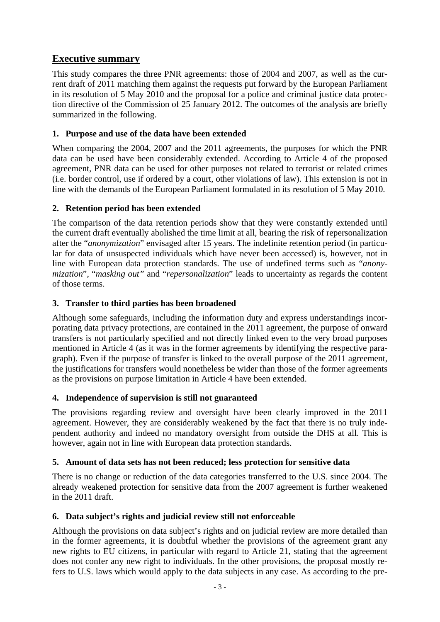# **Executive summary**

This study compares the three PNR agreements: those of 2004 and 2007, as well as the current draft of 2011 matching them against the requests put forward by the European Parliament in its resolution of 5 May 2010 and the proposal for a police and criminal justice data protection directive of the Commission of 25 January 2012. The outcomes of the analysis are briefly summarized in the following.

## **1. Purpose and use of the data have been extended**

When comparing the 2004, 2007 and the 2011 agreements, the purposes for which the PNR data can be used have been considerably extended. According to Article 4 of the proposed agreement, PNR data can be used for other purposes not related to terrorist or related crimes (i.e. border control, use if ordered by a court, other violations of law). This extension is not in line with the demands of the European Parliament formulated in its resolution of 5 May 2010.

## **2. Retention period has been extended**

The comparison of the data retention periods show that they were constantly extended until the current draft eventually abolished the time limit at all, bearing the risk of repersonalization after the "*anonymization*" envisaged after 15 years. The indefinite retention period (in particular for data of unsuspected individuals which have never been accessed) is, however, not in line with European data protection standards. The use of undefined terms such as "*anonymization*", "*masking out"* and "*repersonalization*" leads to uncertainty as regards the content of those terms.

## **3. Transfer to third parties has been broadened**

Although some safeguards, including the information duty and express understandings incorporating data privacy protections, are contained in the 2011 agreement, the purpose of onward transfers is not particularly specified and not directly linked even to the very broad purposes mentioned in Article 4 (as it was in the former agreements by identifying the respective paragraph). Even if the purpose of transfer is linked to the overall purpose of the 2011 agreement, the justifications for transfers would nonetheless be wider than those of the former agreements as the provisions on purpose limitation in Article 4 have been extended.

## **4. Independence of supervision is still not guaranteed**

The provisions regarding review and oversight have been clearly improved in the 2011 agreement. However, they are considerably weakened by the fact that there is no truly independent authority and indeed no mandatory oversight from outside the DHS at all. This is however, again not in line with European data protection standards.

## **5. Amount of data sets has not been reduced; less protection for sensitive data**

There is no change or reduction of the data categories transferred to the U.S. since 2004. The already weakened protection for sensitive data from the 2007 agreement is further weakened in the 2011 draft.

# **6. Data subject's rights and judicial review still not enforceable**

Although the provisions on data subject's rights and on judicial review are more detailed than in the former agreements, it is doubtful whether the provisions of the agreement grant any new rights to EU citizens, in particular with regard to Article 21, stating that the agreement does not confer any new right to individuals. In the other provisions, the proposal mostly refers to U.S. laws which would apply to the data subjects in any case. As according to the pre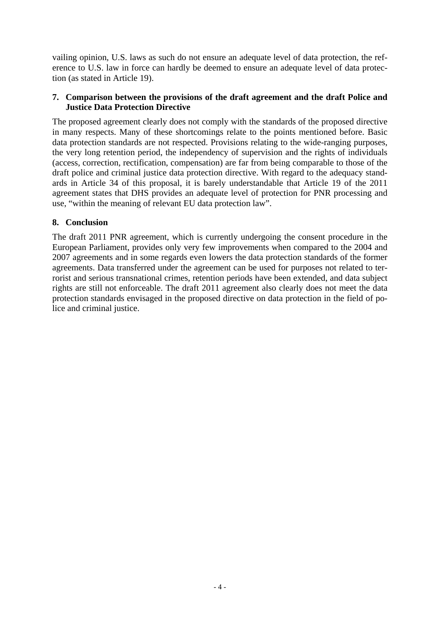vailing opinion, U.S. laws as such do not ensure an adequate level of data protection, the reference to U.S. law in force can hardly be deemed to ensure an adequate level of data protection (as stated in Article 19).

#### **7. Comparison between the provisions of the draft agreement and the draft Police and Justice Data Protection Directive**

The proposed agreement clearly does not comply with the standards of the proposed directive in many respects. Many of these shortcomings relate to the points mentioned before. Basic data protection standards are not respected. Provisions relating to the wide-ranging purposes, the very long retention period, the independency of supervision and the rights of individuals (access, correction, rectification, compensation) are far from being comparable to those of the draft police and criminal justice data protection directive. With regard to the adequacy standards in Article 34 of this proposal, it is barely understandable that Article 19 of the 2011 agreement states that DHS provides an adequate level of protection for PNR processing and use, "within the meaning of relevant EU data protection law".

#### **8. Conclusion**

The draft 2011 PNR agreement, which is currently undergoing the consent procedure in the European Parliament, provides only very few improvements when compared to the 2004 and 2007 agreements and in some regards even lowers the data protection standards of the former agreements. Data transferred under the agreement can be used for purposes not related to terrorist and serious transnational crimes, retention periods have been extended, and data subject rights are still not enforceable. The draft 2011 agreement also clearly does not meet the data protection standards envisaged in the proposed directive on data protection in the field of police and criminal justice.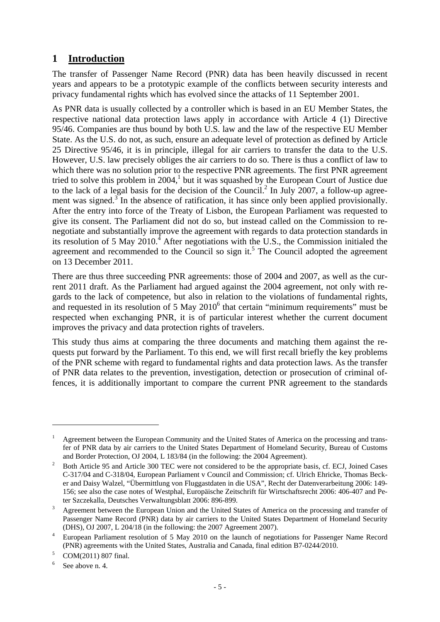# **1 Introduction**

The transfer of Passenger Name Record (PNR) data has been heavily discussed in recent years and appears to be a prototypic example of the conflicts between security interests and privacy fundamental rights which has evolved since the attacks of 11 September 2001.

As PNR data is usually collected by a controller which is based in an EU Member States, the respective national data protection laws apply in accordance with Article 4 (1) Directive 95/46. Companies are thus bound by both U.S. law and the law of the respective EU Member State. As the U.S. do not, as such, ensure an adequate level of protection as defined by Article 25 Directive 95/46, it is in principle, illegal for air carriers to transfer the data to the U.S. However, U.S. law precisely obliges the air carriers to do so. There is thus a conflict of law to which there was no solution prior to the respective PNR agreements. The first PNR agreement tried to solve this problem in  $2004$ ,<sup>1</sup> but it was squashed by the European Court of Justice due to the lack of a legal basis for the decision of the Council.<sup>2</sup> In July 2007, a follow-up agreement was signed. $3\overline{}$  In the absence of ratification, it has since only been applied provisionally. After the entry into force of the Treaty of Lisbon, the European Parliament was requested to give its consent. The Parliament did not do so, but instead called on the Commission to renegotiate and substantially improve the agreement with regards to data protection standards in its resolution of 5 May 2010.<sup>4</sup> After negotiations with the U.S., the Commission initialed the agreement and recommended to the Council so sign it.<sup>5</sup> The Council adopted the agreement on 13 December 2011.

There are thus three succeeding PNR agreements: those of 2004 and 2007, as well as the current 2011 draft. As the Parliament had argued against the 2004 agreement, not only with regards to the lack of competence, but also in relation to the violations of fundamental rights, and requested in its resolution of  $5$  May  $2010<sup>6</sup>$  that certain "minimum requirements" must be respected when exchanging PNR, it is of particular interest whether the current document improves the privacy and data protection rights of travelers.

This study thus aims at comparing the three documents and matching them against the requests put forward by the Parliament. To this end, we will first recall briefly the key problems of the PNR scheme with regard to fundamental rights and data protection laws. As the transfer of PNR data relates to the prevention, investigation, detection or prosecution of criminal offences, it is additionally important to compare the current PNR agreement to the standards

<sup>1</sup> Agreement between the European Community and the United States of America on the processing and transfer of PNR data by air carriers to the United States Department of Homeland Security, Bureau of Customs and Border Protection, OJ 2004, L 183/84 (in the following: the 2004 Agreement). 2

Both Article 95 and Article 300 TEC were not considered to be the appropriate basis, cf. ECJ, Joined Cases C-317/04 and C-318/04, European Parliament v Council and Commission; cf. Ulrich Ehricke, Thomas Becker and Daisy Walzel, "Übermittlung von Fluggastdaten in die USA", Recht der Datenverarbeitung 2006: 149- 156; see also the case notes of Westphal, Europäische Zeitschrift für Wirtschaftsrecht 2006: 406-407 and Peter Szczekalla, Deutsches Verwaltungsblatt 2006: 896-899.

Agreement between the European Union and the United States of America on the processing and transfer of Passenger Name Record (PNR) data by air carriers to the United States Department of Homeland Security (DHS), OJ 2007, L 204/18 (in the following: the 2007 Agreement 2007).

European Parliament resolution of 5 May 2010 on the launch of negotiations for Passenger Name Record (PNR) agreements with the United States, Australia and Canada, final edition B7-0244/2010.<br>
Solution B7-0244/2010.

COM(2011) 807 final.

<sup>6</sup> See above n. 4.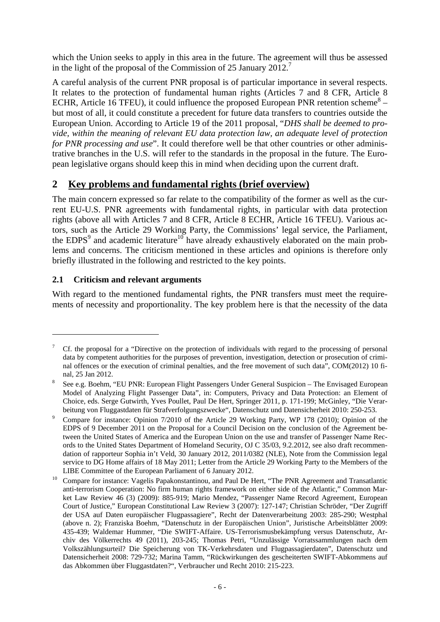which the Union seeks to apply in this area in the future. The agreement will thus be assessed in the light of the proposal of the Commission of 25 January 2012.<sup>7</sup>

A careful analysis of the current PNR proposal is of particular importance in several respects. It relates to the protection of fundamental human rights (Articles 7 and 8 CFR, Article 8 ECHR, Article 16 TFEU), it could influence the proposed European PNR retention scheme<sup>8</sup> – but most of all, it could constitute a precedent for future data transfers to countries outside the European Union. According to Article 19 of the 2011 proposal, "*DHS shall be deemed to provide, within the meaning of relevant EU data protection law, an adequate level of protection for PNR processing and use*". It could therefore well be that other countries or other administrative branches in the U.S. will refer to the standards in the proposal in the future. The European legislative organs should keep this in mind when deciding upon the current draft.

# **2 Key problems and fundamental rights (brief overview)**

The main concern expressed so far relate to the compatibility of the former as well as the current EU-U.S. PNR agreements with fundamental rights, in particular with data protection rights (above all with Articles 7 and 8 CFR, Article 8 ECHR, Article 16 TFEU). Various actors, such as the Article 29 Working Party, the Commissions' legal service, the Parliament, the  $EDPS<sup>9</sup>$  and academic literature<sup>10</sup> have already exhaustively elaborated on the main problems and concerns. The criticism mentioned in these articles and opinions is therefore only briefly illustrated in the following and restricted to the key points.

## **2.1 Criticism and relevant arguments**

1

With regard to the mentioned fundamental rights, the PNR transfers must meet the requirements of necessity and proportionality. The key problem here is that the necessity of the data

<sup>7</sup> Cf. the proposal for a "Directive on the protection of individuals with regard to the processing of personal data by competent authorities for the purposes of prevention, investigation, detection or prosecution of criminal offences or the execution of criminal penalties, and the free movement of such data", COM(2012) 10 final, 25 Jan 2012. 8

See e.g. Boehm, "EU PNR: European Flight Passengers Under General Suspicion – The Envisaged European Model of Analyzing Flight Passenger Data", in: Computers, Privacy and Data Protection: an Element of Choice, eds. Serge Gutwirth, Yves Poullet, Paul De Hert, Springer 2011, p. 171-199; McGinley, "Die Verarbeitung von Fluggastdaten für Strafverfolgungszwecke", Datenschutz und Datensicherheit 2010: 250-253.

Compare for instance: Opinion 7/2010 of the Article 29 Working Party, WP 178 (2010); Opinion of the EDPS of 9 December 2011 on the Proposal for a Council Decision on the conclusion of the Agreement between the United States of America and the European Union on the use and transfer of Passenger Name Records to the United States Department of Homeland Security, OJ C 35/03, 9.2.2012, see also draft recommendation of rapporteur Sophia in't Veld, 30 January 2012, 2011/0382 (NLE), Note from the Commission legal service to DG Home affairs of 18 May 2011; Letter from the Article 29 Working Party to the Members of the

LIBE Committee of the European Parliament of 6 January 2012.<br>
10 Compare for instance: Vagelis Papakonstantinou, and Paul De Hert, "The PNR Agreement and Transatlantic anti-terrorism Cooperation: No firm human rights framework on either side of the Atlantic," Common Market Law Review 46 (3) (2009): 885-919; Mario Mendez, "Passenger Name Record Agreement, European Court of Justice," European Constitutional Law Review 3 (2007): 127-147; Christian Schröder, "Der Zugriff der USA auf Daten europäischer Flugpassagiere", Recht der Datenverarbeitung 2003: 285-290; Westphal (above n. 2); Franziska Boehm, "Datenschutz in der Europäischen Union", Juristische Arbeitsblätter 2009: 435-439; Waldemar Hummer, "Die SWIFT-Affaire. US-Terrorismusbekämpfung versus Datenschutz, Archiv des Völkerrechts 49 (2011), 203-245; Thomas Petri, "Unzulässige Vorratssammlungen nach dem Volkszählungsurteil? Die Speicherung von TK-Verkehrsdaten und Flugpassagierdaten", Datenschutz und Datensicherheit 2008: 729-732; Marina Tamm, "Rückwirkungen des gescheiterten SWIFT-Abkommens auf das Abkommen über Fluggastdaten?", Verbraucher und Recht 2010: 215-223.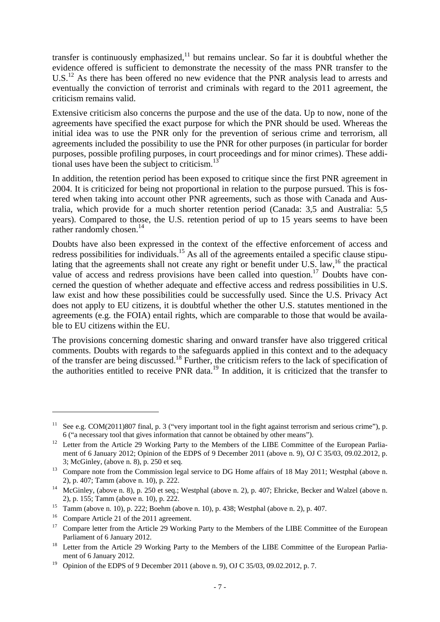transfer is continuously emphasized, $11$  but remains unclear. So far it is doubtful whether the evidence offered is sufficient to demonstrate the necessity of the mass PNR transfer to the  $U.S.<sup>12</sup>$  As there has been offered no new evidence that the PNR analysis lead to arrests and eventually the conviction of terrorist and criminals with regard to the 2011 agreement, the criticism remains valid.

Extensive criticism also concerns the purpose and the use of the data. Up to now, none of the agreements have specified the exact purpose for which the PNR should be used. Whereas the initial idea was to use the PNR only for the prevention of serious crime and terrorism, all agreements included the possibility to use the PNR for other purposes (in particular for border purposes, possible profiling purposes, in court proceedings and for minor crimes). These additional uses have been the subject to criticism.<sup>13</sup>

In addition, the retention period has been exposed to critique since the first PNR agreement in 2004. It is criticized for being not proportional in relation to the purpose pursued. This is fostered when taking into account other PNR agreements, such as those with Canada and Australia, which provide for a much shorter retention period (Canada: 3,5 and Australia: 5,5 years). Compared to those, the U.S. retention period of up to 15 years seems to have been rather randomly chosen.<sup>14</sup>

Doubts have also been expressed in the context of the effective enforcement of access and redress possibilities for individuals.<sup>15</sup> As all of the agreements entailed a specific clause stipulating that the agreements shall not create any right or benefit under U.S. law,  $^{16}$  the practical value of access and redress provisions have been called into question.<sup>17</sup> Doubts have concerned the question of whether adequate and effective access and redress possibilities in U.S. law exist and how these possibilities could be successfully used. Since the U.S. Privacy Act does not apply to EU citizens, it is doubtful whether the other U.S. statutes mentioned in the agreements (e.g. the FOIA) entail rights, which are comparable to those that would be available to EU citizens within the EU.

The provisions concerning domestic sharing and onward transfer have also triggered critical comments. Doubts with regards to the safeguards applied in this context and to the adequacy of the transfer are being discussed.18 Further, the criticism refers to the lack of specification of the authorities entitled to receive PNR data.19 In addition, it is criticized that the transfer to

<sup>&</sup>lt;sup>11</sup> See e.g. COM(2011)807 final, p. 3 ("very important tool in the fight against terrorism and serious crime"), p.

<sup>6 (&</sup>quot;a necessary tool that gives information that cannot be obtained by other means"). 12 Letter from the Article 29 Working Party to the Members of the LIBE Committee of the European Parliament of 6 January 2012; Opinion of the EDPS of 9 December 2011 (above n. 9), OJ C 35/03, 09.02.2012, p.

<sup>3;</sup> McGinley, (above n. 8), p. 250 et seq.<br><sup>13</sup> Compare note from the Commission legal service to DG Home affairs of 18 May 2011; Westphal (above n.

<sup>2),</sup> p. 407; Tamm (above n. 10), p. 222.<br>
<sup>14</sup> McGinley, (above n. 8), p. 250 et seq.; Westphal (above n. 2), p. 407; Ehricke, Becker and Walzel (above n. 2), p. 155; Tamm (above n. 10), p. 222.

<sup>&</sup>lt;sup>15</sup> Tamm (above n. 10), p. 222; Boehm (above n. 10), p. 438; Westphal (above n. 2), p. 407.

<sup>&</sup>lt;sup>16</sup> Compare Article 21 of the 2011 agreement.

<sup>&</sup>lt;sup>17</sup> Compare letter from the Article 29 Working Party to the Members of the LIBE Committee of the European Parliament of 6 January 2012.<br><sup>18</sup> Letter from the Article 29 Working Party to the Members of the LIBE Committee of the European Parlia-

ment of 6 January 2012.

<sup>&</sup>lt;sup>19</sup> Opinion of the EDPS of 9 December 2011 (above n. 9), OJ C 35/03, 09.02.2012, p. 7.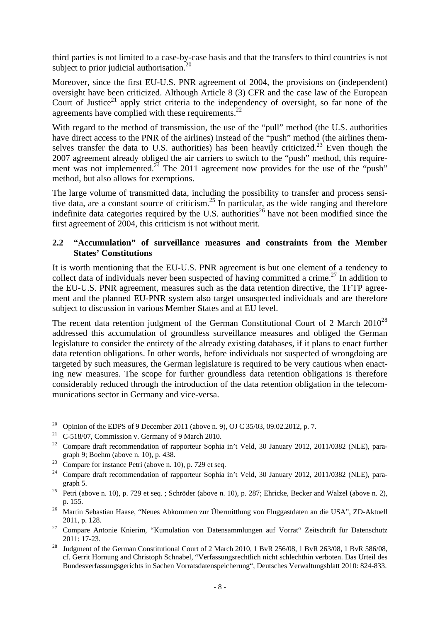third parties is not limited to a case-by-case basis and that the transfers to third countries is not subject to prior judicial authorisation. $^{20}$ 

Moreover, since the first EU-U.S. PNR agreement of 2004, the provisions on (independent) oversight have been criticized. Although Article 8 (3) CFR and the case law of the European Court of Justice<sup>21</sup> apply strict criteria to the independency of oversight, so far none of the agreements have complied with these requirements.<sup>22</sup>

With regard to the method of transmission, the use of the "pull" method (the U.S. authorities have direct access to the PNR of the airlines) instead of the "push" method (the airlines themselves transfer the data to U.S. authorities) has been heavily criticized.<sup>23</sup> Even though the 2007 agreement already obliged the air carriers to switch to the "push" method, this requirement was not implemented.<sup>24</sup> The 2011 agreement now provides for the use of the "push" method, but also allows for exemptions.

The large volume of transmitted data, including the possibility to transfer and process sensitive data, are a constant source of criticism.<sup>25</sup> In particular, as the wide ranging and therefore indefinite data categories required by the U.S. authorities<sup>26</sup> have not been modified since the first agreement of 2004, this criticism is not without merit.

#### **2.2 "Accumulation" of surveillance measures and constraints from the Member States' Constitutions**

It is worth mentioning that the EU-U.S. PNR agreement is but one element of a tendency to collect data of individuals never been suspected of having committed a crime.<sup>27</sup> In addition to the EU-U.S. PNR agreement, measures such as the data retention directive, the TFTP agreement and the planned EU-PNR system also target unsuspected individuals and are therefore subject to discussion in various Member States and at EU level.

The recent data retention judgment of the German Constitutional Court of 2 March  $2010^{28}$ addressed this accumulation of groundless surveillance measures and obliged the German legislature to consider the entirety of the already existing databases, if it plans to enact further data retention obligations. In other words, before individuals not suspected of wrongdoing are targeted by such measures, the German legislature is required to be very cautious when enacting new measures. The scope for further groundless data retention obligations is therefore considerably reduced through the introduction of the data retention obligation in the telecommunications sector in Germany and vice-versa.

<sup>&</sup>lt;sup>20</sup> Opinion of the EDPS of 9 December 2011 (above n. 9), OJ C 35/03, 09.02.2012, p. 7.

<sup>&</sup>lt;sup>21</sup> C-518/07, Commission v. Germany of 9 March 2010.

<sup>&</sup>lt;sup>22</sup> Compare draft recommendation of rapporteur Sophia in't Veld, 30 January 2012, 2011/0382 (NLE), paragraph 9; Boehm (above n. 10), p. 438.<br><sup>23</sup> Compare for instance Petri (above n. 10), p. 729 et seq.

<sup>&</sup>lt;sup>24</sup> Compare draft recommendation of rapporteur Sophia in't Veld, 30 January 2012, 2011/0382 (NLE), para-

graph 5. 25 Petri (above n. 10), p. 729 et seq. ; Schröder (above n. 10), p. 287; Ehricke, Becker and Walzel (above n. 2),

p. 155. 26 Martin Sebastian Haase, "Neues Abkommen zur Übermittlung von Fluggastdaten an die USA", ZD-Aktuell

<sup>2011,</sup> p. 128.<br><sup>27</sup> Compare Antonie Knierim, "Kumulation von Datensammlungen auf Vorrat" Zeitschrift für Datenschutz 2011: 17-23.<br><sup>28</sup> Judgment of the German Constitutional Court of 2 March 2010, 1 BvR 256/08, 1 BvR 263/08, 1 BvR 586/08,

cf. Gerrit Hornung and Christoph Schnabel, "Verfassungsrechtlich nicht schlechthin verboten. Das Urteil des Bundesverfassungsgerichts in Sachen Vorratsdatenspeicherung", Deutsches Verwaltungsblatt 2010: 824-833.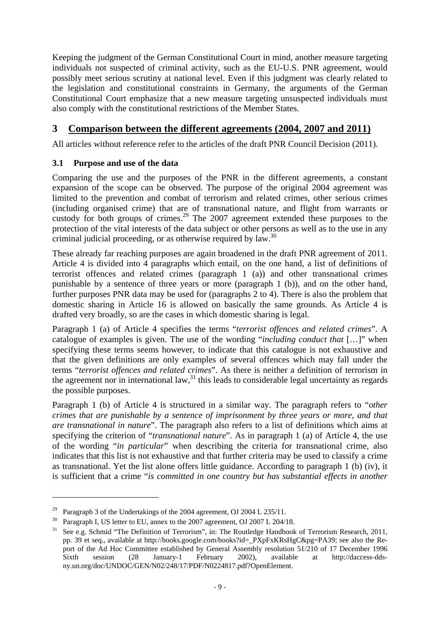Keeping the judgment of the German Constitutional Court in mind, another measure targeting individuals not suspected of criminal activity, such as the EU-U.S. PNR agreement, would possibly meet serious scrutiny at national level. Even if this judgment was clearly related to the legislation and constitutional constraints in Germany, the arguments of the German Constitutional Court emphasize that a new measure targeting unsuspected individuals must also comply with the constitutional restrictions of the Member States.

# **3 Comparison between the different agreements (2004, 2007 and 2011)**

All articles without reference refer to the articles of the draft PNR Council Decision (2011).

#### **3.1 Purpose and use of the data**

Comparing the use and the purposes of the PNR in the different agreements, a constant expansion of the scope can be observed. The purpose of the original 2004 agreement was limited to the prevention and combat of terrorism and related crimes, other serious crimes (including organised crime) that are of transnational nature, and flight from warrants or custody for both groups of crimes.<sup>29</sup> The 2007 agreement extended these purposes to the protection of the vital interests of the data subject or other persons as well as to the use in any criminal judicial proceeding, or as otherwise required by law.<sup>30</sup>

These already far reaching purposes are again broadened in the draft PNR agreement of 2011. Article 4 is divided into 4 paragraphs which entail, on the one hand, a list of definitions of terrorist offences and related crimes (paragraph 1 (a)) and other transnational crimes punishable by a sentence of three years or more (paragraph 1 (b)), and on the other hand, further purposes PNR data may be used for (paragraphs 2 to 4). There is also the problem that domestic sharing in Article 16 is allowed on basically the same grounds. As Article 4 is drafted very broadly, so are the cases in which domestic sharing is legal.

Paragraph 1 (a) of Article 4 specifies the terms "*terrorist offences and related crimes*". A catalogue of examples is given. The use of the wording "*including conduct that* […]" when specifying these terms seems however, to indicate that this catalogue is not exhaustive and that the given definitions are only examples of several offences which may fall under the terms "*terrorist offences and related crimes*". As there is neither a definition of terrorism in the agreement nor in international law, $31$  this leads to considerable legal uncertainty as regards the possible purposes.

Paragraph 1 (b) of Article 4 is structured in a similar way. The paragraph refers to "*other crimes that are punishable by a sentence of imprisonment by three years or more, and that are transnational in nature*". The paragraph also refers to a list of definitions which aims at specifying the criterion of "*transnational nature*". As in paragraph 1 (a) of Article 4, the use of the wording "*in particular*" when describing the criteria for transnational crime, also indicates that this list is not exhaustive and that further criteria may be used to classify a crime as transnational. Yet the list alone offers little guidance. According to paragraph 1 (b) (iv), it is sufficient that a crime "*is committed in one country but has substantial effects in another* 

<sup>&</sup>lt;sup>29</sup> Paragraph 3 of the Undertakings of the 2004 agreement, OJ 2004 L 235/11.

<sup>30</sup> Paragraph I, US letter to EU, annex to the 2007 agreement, OJ 2007 L 204/18.

<sup>&</sup>lt;sup>31</sup> See e.g. Schmid "The Definition of Terrorism", in: The Routledge Handbook of Terrorism Research, 2011, pp. 39 et seq., available at http://books.google.com/books?id=\_PXpFxKRsHgC&pg=PA39; see also the Report of the Ad Hoc Committee established by General Assembly resolution 51/210 of 17 December 1996 Sixth session (28 January-1 February 2002), available at http://daccess-ddsny.un.org/doc/UNDOC/GEN/N02/248/17/PDF/N0224817.pdf?OpenElement.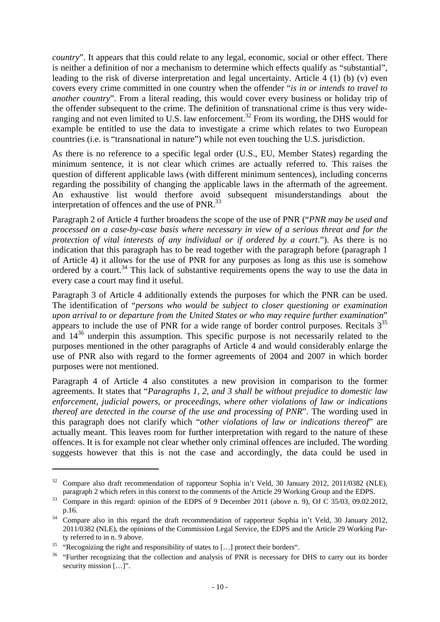*country*". It appears that this could relate to any legal, economic, social or other effect. There is neither a definition of nor a mechanism to determine which effects qualify as "substantial", leading to the risk of diverse interpretation and legal uncertainty. Article 4 (1) (b) (v) even covers every crime committed in one country when the offender "*is in or intends to travel to another country*". From a literal reading, this would cover every business or holiday trip of the offender subsequent to the crime. The definition of transnational crime is thus very wideranging and not even limited to U.S. law enforcement.<sup>32</sup> From its wording, the DHS would for example be entitled to use the data to investigate a crime which relates to two European countries (i.e. is "transnational in nature") while not even touching the U.S. jurisdiction.

As there is no reference to a specific legal order (U.S., EU, Member States) regarding the minimum sentence, it is not clear which crimes are actually referred to. This raises the question of different applicable laws (with different minimum sentences), including concerns regarding the possibility of changing the applicable laws in the aftermath of the agreement. An exhaustive list would therfore avoid subsequent misunderstandings about the interpretation of offences and the use of  $PNR$ <sup>33</sup>

Paragraph 2 of Article 4 further broadens the scope of the use of PNR ("*PNR may be used and processed on a case-by-case basis where necessary in view of a serious threat and for the protection of vital interests of any individual or if ordered by a court*."). As there is no indication that this paragraph has to be read together with the paragraph before (paragraph 1 of Article 4) it allows for the use of PNR for any purposes as long as this use is somehow ordered by a court.<sup>34</sup> This lack of substantive requirements opens the way to use the data in every case a court may find it useful.

Paragraph 3 of Article 4 additionally extends the purposes for which the PNR can be used. The identification of "*persons who would be subject to closer questioning or examination upon arrival to or departure from the United States or who may require further examination*" appears to include the use of PNR for a wide range of border control purposes. Recitals  $3^{35}$ and  $14^{36}$  underpin this assumption. This specific purpose is not necessarily related to the purposes mentioned in the other paragraphs of Article 4 and would considerably enlarge the use of PNR also with regard to the former agreements of 2004 and 2007 in which border purposes were not mentioned.

Paragraph 4 of Article 4 also constitutes a new provision in comparison to the former agreements. It states that "*Paragraphs 1, 2, and 3 shall be without prejudice to domestic law enforcement, judicial powers, or proceedings, where other violations of law or indications thereof are detected in the course of the use and processing of PNR*". The wording used in this paragraph does not clarify which "*other violations of law or indications thereof*" are actually meant. This leaves room for further interpretation with regard to the nature of these offences. It is for example not clear whether only criminal offences are included. The wording suggests however that this is not the case and accordingly, the data could be used in

<u>.</u>

<sup>&</sup>lt;sup>32</sup> Compare also draft recommendation of rapporteur Sophia in't Veld, 30 January 2012, 2011/0382 (NLE),

paragraph 2 which refers in this context to the comments of the Article 29 Working Group and the EDPS.<br><sup>33</sup> Compare in this regard: opinion of the EDPS of 9 December 2011 (above n. 9), OJ C 35/03, 09.02.2012, p.16. 34 Compare also in this regard the draft recommendation of rapporteur Sophia in't Veld, 30 January 2012,

<sup>2011/0382 (</sup>NLE), the opinions of the Commission Legal Service, the EDPS and the Article 29 Working Party referred to in n. 9 above.<br><sup>35</sup> "Recognizing the right and responsibility of states to [...] protect their borders".

<sup>&</sup>lt;sup>36</sup> "Further recognizing that the collection and analysis of PNR is necessary for DHS to carry out its border security mission [...]".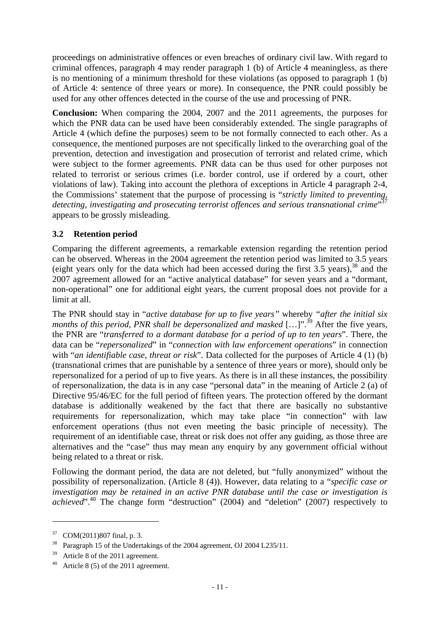proceedings on administrative offences or even breaches of ordinary civil law. With regard to criminal offences, paragraph 4 may render paragraph 1 (b) of Article 4 meaningless, as there is no mentioning of a minimum threshold for these violations (as opposed to paragraph 1 (b) of Article 4: sentence of three years or more). In consequence, the PNR could possibly be used for any other offences detected in the course of the use and processing of PNR.

**Conclusion:** When comparing the 2004, 2007 and the 2011 agreements, the purposes for which the PNR data can be used have been considerably extended. The single paragraphs of Article 4 (which define the purposes) seem to be not formally connected to each other. As a consequence, the mentioned purposes are not specifically linked to the overarching goal of the prevention, detection and investigation and prosecution of terrorist and related crime, which were subject to the former agreements. PNR data can be thus used for other purposes not related to terrorist or serious crimes (i.e. border control, use if ordered by a court, other violations of law). Taking into account the plethora of exceptions in Article 4 paragraph 2-4, the Commissions' statement that the purpose of processing is "*strictly limited to preventing, detecting, investigating and prosecuting terrorist offences and serious transnational crime*" 37 appears to be grossly misleading.

## **3.2 Retention period**

Comparing the different agreements, a remarkable extension regarding the retention period can be observed. Whereas in the 2004 agreement the retention period was limited to 3.5 years (eight years only for the data which had been accessed during the first  $3.5$  years),  $38$  and the 2007 agreement allowed for an "active analytical database" for seven years and a "dormant, non-operational" one for additional eight years, the current proposal does not provide for a limit at all.

The PNR should stay in "*active database for up to five years"* whereby *"after the initial six months of this period, PNR shall be depersonalized and masked* [...]".<sup>39</sup> After the five years, the PNR are "*transferred to a dormant database for a period of up to ten years*". There, the data can be "*repersonalized*" in "*connection with law enforcement operations*" in connection with "*an identifiable case, threat or risk*". Data collected for the purposes of Article 4 (1) (b) (transnational crimes that are punishable by a sentence of three years or more), should only be repersonalized for a period of up to five years. As there is in all these instances, the possibility of repersonalization, the data is in any case "personal data" in the meaning of Article 2 (a) of Directive 95/46/EC for the full period of fifteen years. The protection offered by the dormant database is additionally weakened by the fact that there are basically no substantive requirements for repersonalization, which may take place "in connection" with law enforcement operations (thus not even meeting the basic principle of necessity). The requirement of an identifiable case, threat or risk does not offer any guiding, as those three are alternatives and the "case" thus may mean any enquiry by any government official without being related to a threat or risk.

Following the dormant period, the data are not deleted, but "fully anonymized" without the possibility of repersonalization. (Article 8 (4)). However, data relating to a "*specific case or investigation may be retained in an active PNR database until the case or investigation is achieved*".<sup>40</sup> The change form "destruction" (2004) and "deletion" (2007) respectively to

<sup>37</sup> COM(2011)807 final, p. 3.

<sup>&</sup>lt;sup>38</sup> Paragraph 15 of the Undertakings of the 2004 agreement, OJ 2004 L235/11.

<sup>&</sup>lt;sup>39</sup> Article 8 of the 2011 agreement.

Article  $8(5)$  of the 2011 agreement.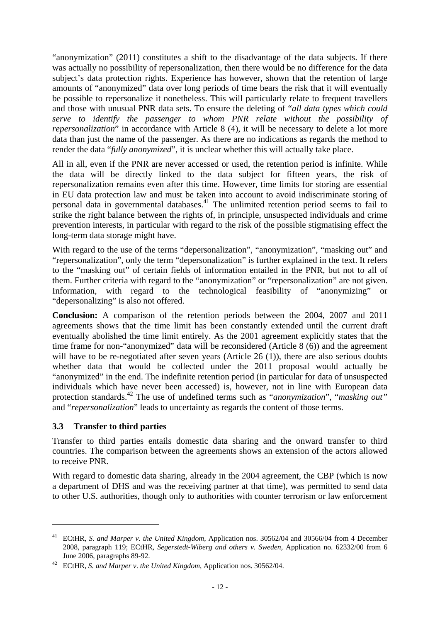"anonymization" (2011) constitutes a shift to the disadvantage of the data subjects. If there was actually no possibility of repersonalization, then there would be no difference for the data subject's data protection rights. Experience has however, shown that the retention of large amounts of "anonymized" data over long periods of time bears the risk that it will eventually be possible to repersonalize it nonetheless. This will particularly relate to frequent travellers and those with unusual PNR data sets. To ensure the deleting of "*all data types which could serve to identify the passenger to whom PNR relate without the possibility of repersonalization*" in accordance with Article 8 (4), it will be necessary to delete a lot more data than just the name of the passenger. As there are no indications as regards the method to render the data "*fully anonymized*", it is unclear whether this will actually take place.

All in all, even if the PNR are never accessed or used, the retention period is infinite. While the data will be directly linked to the data subject for fifteen years, the risk of repersonalization remains even after this time. However, time limits for storing are essential in EU data protection law and must be taken into account to avoid indiscriminate storing of personal data in governmental databases.<sup>41</sup> The unlimited retention period seems to fail to strike the right balance between the rights of, in principle, unsuspected individuals and crime prevention interests, in particular with regard to the risk of the possible stigmatising effect the long-term data storage might have.

With regard to the use of the terms "depersonalization", "anonymization", "masking out" and "repersonalization", only the term "depersonalization" is further explained in the text. It refers to the "masking out" of certain fields of information entailed in the PNR, but not to all of them. Further criteria with regard to the "anonymization" or "repersonalization" are not given. Information, with regard to the technological feasibility of "anonymizing" or "depersonalizing" is also not offered.

**Conclusion:** A comparison of the retention periods between the 2004, 2007 and 2011 agreements shows that the time limit has been constantly extended until the current draft eventually abolished the time limit entirely. As the 2001 agreement explicitly states that the time frame for non-"anonymized" data will be reconsidered (Article 8 (6)) and the agreement will have to be re-negotiated after seven years (Article 26 (1)), there are also serious doubts whether data that would be collected under the 2011 proposal would actually be "anonymized" in the end. The indefinite retention period (in particular for data of unsuspected individuals which have never been accessed) is, however, not in line with European data protection standards.42 The use of undefined terms such as "*anonymization*", "*masking out"*  and "*repersonalization*" leads to uncertainty as regards the content of those terms.

#### **3.3 Transfer to third parties**

<u>.</u>

Transfer to third parties entails domestic data sharing and the onward transfer to third countries. The comparison between the agreements shows an extension of the actors allowed to receive PNR.

With regard to domestic data sharing, already in the 2004 agreement, the CBP (which is now a department of DHS and was the receiving partner at that time), was permitted to send data to other U.S. authorities, though only to authorities with counter terrorism or law enforcement

<sup>41</sup> ECtHR, *S. and Marper v*. *the United Kingdom*, Application nos. 30562/04 and 30566/04 from 4 December 2008, paragraph 119; ECtHR, *Segerstedt-Wiberg and others v*. *Sweden,* Application no. 62332/00 from 6

June 2006, paragraphs 89-92. 42 ECtHR, *S. and Marper v*. *the United Kingdom*, Application nos. 30562/04.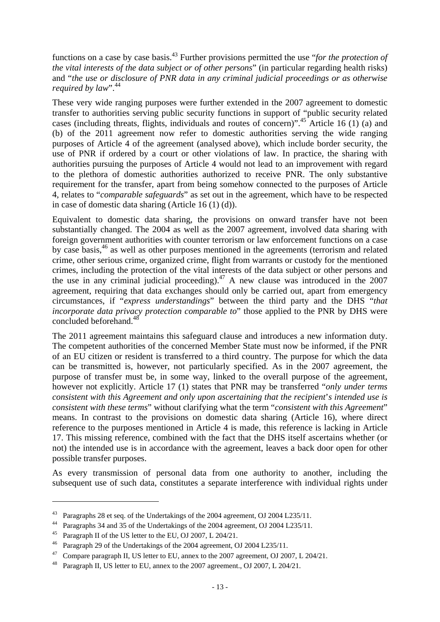functions on a case by case basis.43 Further provisions permitted the use "*for the protection of the vital interests of the data subject or of other persons*" (in particular regarding health risks) and "*the use or disclosure of PNR data in any criminal judicial proceedings or as otherwise required by law*".<sup>44</sup>

These very wide ranging purposes were further extended in the 2007 agreement to domestic transfer to authorities serving public security functions in support of "public security related cases (including threats, flights, individuals and routes of concern)".45 Article 16 (1) (a) and (b) of the 2011 agreement now refer to domestic authorities serving the wide ranging purposes of Article 4 of the agreement (analysed above), which include border security, the use of PNR if ordered by a court or other violations of law. In practice, the sharing with authorities pursuing the purposes of Article 4 would not lead to an improvement with regard to the plethora of domestic authorities authorized to receive PNR. The only substantive requirement for the transfer, apart from being somehow connected to the purposes of Article 4, relates to "*comparable safeguards*" as set out in the agreement, which have to be respected in case of domestic data sharing (Article 16 (1) (d)).

Equivalent to domestic data sharing, the provisions on onward transfer have not been substantially changed. The 2004 as well as the 2007 agreement, involved data sharing with foreign government authorities with counter terrorism or law enforcement functions on a case by case basis,46 as well as other purposes mentioned in the agreements (terrorism and related crime, other serious crime, organized crime, flight from warrants or custody for the mentioned crimes, including the protection of the vital interests of the data subject or other persons and the use in any criminal judicial proceeding).<sup>47</sup> A new clause was introduced in the 2007 agreement, requiring that data exchanges should only be carried out, apart from emergency circumstances, if "*express understandings*" between the third party and the DHS "*that incorporate data privacy protection comparable to*" those applied to the PNR by DHS were concluded beforehand.48

The 2011 agreement maintains this safeguard clause and introduces a new information duty. The competent authorities of the concerned Member State must now be informed, if the PNR of an EU citizen or resident is transferred to a third country. The purpose for which the data can be transmitted is, however, not particularly specified. As in the 2007 agreement, the purpose of transfer must be, in some way, linked to the overall purpose of the agreement, however not explicitly. Article 17 (1) states that PNR may be transferred "*only under terms consistent with this Agreement and only upon ascertaining that the recipient*'*s intended use is consistent with these terms*" without clarifying what the term "*consistent with this Agreement*" means. In contrast to the provisions on domestic data sharing (Article 16), where direct reference to the purposes mentioned in Article 4 is made, this reference is lacking in Article 17. This missing reference, combined with the fact that the DHS itself ascertains whether (or not) the intended use is in accordance with the agreement, leaves a back door open for other possible transfer purposes.

As every transmission of personal data from one authority to another, including the subsequent use of such data, constitutes a separate interference with individual rights under

<sup>43</sup> Paragraphs 28 et seq. of the Undertakings of the 2004 agreement, OJ 2004 L235/11.

<sup>44</sup> Paragraphs 34 and 35 of the Undertakings of the 2004 agreement, OJ 2004 L235/11.

<sup>&</sup>lt;sup>45</sup> Paragraph II of the US letter to the EU, OJ 2007, L 204/21.

<sup>46</sup> Paragraph 29 of the Undertakings of the 2004 agreement, OJ 2004 L235/11.

<sup>&</sup>lt;sup>47</sup> Compare paragraph II, US letter to EU, annex to the 2007 agreement, OJ 2007, L 204/21.

Paragraph II, US letter to EU, annex to the 2007 agreement., OJ 2007, L 204/21.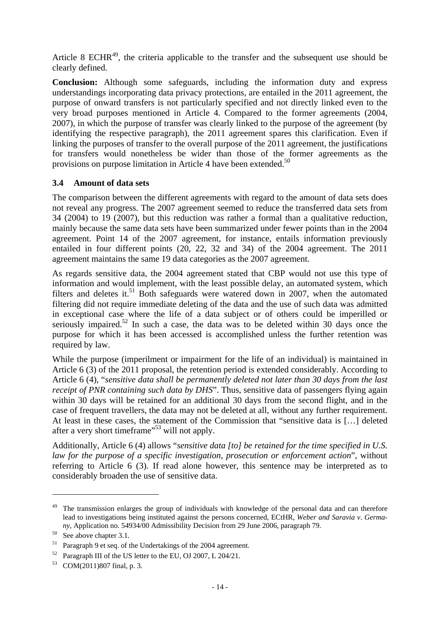Article 8 ECHR<sup>49</sup>, the criteria applicable to the transfer and the subsequent use should be clearly defined.

**Conclusion:** Although some safeguards, including the information duty and express understandings incorporating data privacy protections, are entailed in the 2011 agreement, the purpose of onward transfers is not particularly specified and not directly linked even to the very broad purposes mentioned in Article 4. Compared to the former agreements (2004, 2007), in which the purpose of transfer was clearly linked to the purpose of the agreement (by identifying the respective paragraph), the 2011 agreement spares this clarification. Even if linking the purposes of transfer to the overall purpose of the 2011 agreement, the justifications for transfers would nonetheless be wider than those of the former agreements as the provisions on purpose limitation in Article 4 have been extended.<sup>50</sup>

#### **3.4 Amount of data sets**

The comparison between the different agreements with regard to the amount of data sets does not reveal any progress. The 2007 agreement seemed to reduce the transferred data sets from 34 (2004) to 19 (2007), but this reduction was rather a formal than a qualitative reduction, mainly because the same data sets have been summarized under fewer points than in the 2004 agreement. Point 14 of the 2007 agreement, for instance, entails information previously entailed in four different points (20, 22, 32 and 34) of the 2004 agreement. The 2011 agreement maintains the same 19 data categories as the 2007 agreement.

As regards sensitive data, the 2004 agreement stated that CBP would not use this type of information and would implement, with the least possible delay, an automated system, which filters and deletes it.<sup>51</sup> Both safeguards were watered down in 2007, when the automated filtering did not require immediate deleting of the data and the use of such data was admitted in exceptional case where the life of a data subject or of others could be imperilled or seriously impaired.<sup>52</sup> In such a case, the data was to be deleted within 30 days once the purpose for which it has been accessed is accomplished unless the further retention was required by law.

While the purpose (imperilment or impairment for the life of an individual) is maintained in Article 6 (3) of the 2011 proposal, the retention period is extended considerably. According to Article 6 (4), "*sensitive data shall be permanently deleted not later than 30 days from the last receipt of PNR containing such data by DHS*". Thus, sensitive data of passengers flying again within 30 days will be retained for an additional 30 days from the second flight, and in the case of frequent travellers, the data may not be deleted at all, without any further requirement. At least in these cases, the statement of the Commission that "sensitive data is […] deleted after a very short timeframe"<sup>53</sup> will not apply.

Additionally, Article 6 (4) allows "*sensitive data [to] be retained for the time specified in U.S. law for the purpose of a specific investigation, prosecution or enforcement action*", without referring to Article 6 (3). If read alone however, this sentence may be interpreted as to considerably broaden the use of sensitive data.

<u>.</u>

<sup>&</sup>lt;sup>49</sup> The transmission enlarges the group of individuals with knowledge of the personal data and can therefore lead to investigations being instituted against the persons concerned, ECtHR, *Weber and Saravia v*. *Germany*, Application no. 54934/00 Admissibility Decision from 29 June 2006, paragraph 79. See above chapter 3.1.

<sup>51</sup> Paragraph 9 et seq. of the Undertakings of the 2004 agreement.

<sup>52</sup> Paragraph III of the US letter to the EU, OJ 2007, L 204/21.

<sup>53</sup> COM(2011)807 final, p. 3.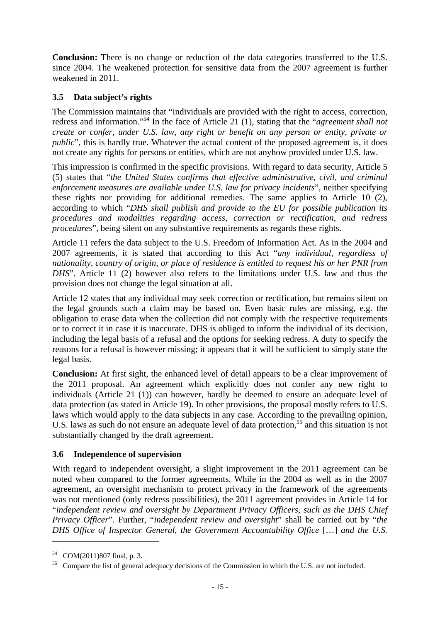**Conclusion:** There is no change or reduction of the data categories transferred to the U.S. since 2004. The weakened protection for sensitive data from the 2007 agreement is further weakened in 2011.

## **3.5 Data subject's rights**

The Commission maintains that "individuals are provided with the right to access, correction, redress and information."54 In the face of Article 21 (1), stating that the "*agreement shall not create or confer, under U.S. law, any right or benefit on any person or entity, private or public*", this is hardly true. Whatever the actual content of the proposed agreement is, it does not create any rights for persons or entities, which are not anyhow provided under U.S. law.

This impression is confirmed in the specific provisions. With regard to data security, Article 5 (5) states that "*the United States confirms that effective administrative, civil, and criminal enforcement measures are available under U.S. law for privacy incidents*", neither specifying these rights nor providing for additional remedies. The same applies to Article 10 (2), according to which "*DHS shall publish and provide to the EU for possible publication its procedures and modalities regarding access, correction or rectification, and redress procedures*", being silent on any substantive requirements as regards these rights.

Article 11 refers the data subject to the U.S. Freedom of Information Act. As in the 2004 and 2007 agreements, it is stated that according to this Act "*any individual, regardless of nationality, country of origin, or place of residence is entitled to request his or her PNR from DHS*". Article 11 (2) however also refers to the limitations under U.S. law and thus the provision does not change the legal situation at all.

Article 12 states that any individual may seek correction or rectification, but remains silent on the legal grounds such a claim may be based on. Even basic rules are missing, e.g. the obligation to erase data when the collection did not comply with the respective requirements or to correct it in case it is inaccurate. DHS is obliged to inform the individual of its decision, including the legal basis of a refusal and the options for seeking redress. A duty to specify the reasons for a refusal is however missing; it appears that it will be sufficient to simply state the legal basis.

**Conclusion:** At first sight, the enhanced level of detail appears to be a clear improvement of the 2011 proposal. An agreement which explicitly does not confer any new right to individuals (Article 21 (1)) can however, hardly be deemed to ensure an adequate level of data protection (as stated in Article 19). In other provisions, the proposal mostly refers to U.S. laws which would apply to the data subjects in any case. According to the prevailing opinion, U.S. laws as such do not ensure an adequate level of data protection,<sup>55</sup> and this situation is not substantially changed by the draft agreement.

## **3.6 Independence of supervision**

With regard to independent oversight, a slight improvement in the 2011 agreement can be noted when compared to the former agreements. While in the 2004 as well as in the 2007 agreement, an oversight mechanism to protect privacy in the framework of the agreements was not mentioned (only redress possibilities), the 2011 agreement provides in Article 14 for "*independent review and oversight by Department Privacy Officers, such as the DHS Chief Privacy Officer*". Further, "*independent review and oversight*" shall be carried out by "*the DHS Office of Inspector General, the Government Accountability Office* […] *and the U.S.* 

<sup>54</sup> COM(2011)807 final, p. 3.

<sup>&</sup>lt;sup>55</sup> Compare the list of general adequacy decisions of the Commission in which the U.S. are not included.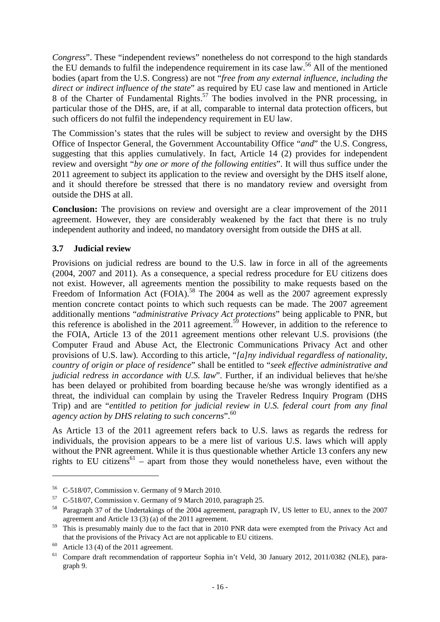*Congress*". These "independent reviews" nonetheless do not correspond to the high standards the EU demands to fulfil the independence requirement in its case law.<sup>56</sup> All of the mentioned bodies (apart from the U.S. Congress) are not "*free from any external influence, including the direct or indirect influence of the state*" as required by EU case law and mentioned in Article 8 of the Charter of Fundamental Rights.<sup>57</sup> The bodies involved in the PNR processing, in particular those of the DHS, are, if at all, comparable to internal data protection officers, but such officers do not fulfil the independency requirement in EU law.

The Commission's states that the rules will be subject to review and oversight by the DHS Office of Inspector General, the Government Accountability Office "*and*" the U.S. Congress, suggesting that this applies cumulatively. In fact, Article 14 (2) provides for independent review and oversight "*by one or more of the following entities*". It will thus suffice under the 2011 agreement to subject its application to the review and oversight by the DHS itself alone, and it should therefore be stressed that there is no mandatory review and oversight from outside the DHS at all.

**Conclusion:** The provisions on review and oversight are a clear improvement of the 2011 agreement. However, they are considerably weakened by the fact that there is no truly independent authority and indeed, no mandatory oversight from outside the DHS at all.

#### **3.7 Judicial review**

Provisions on judicial redress are bound to the U.S. law in force in all of the agreements (2004, 2007 and 2011). As a consequence, a special redress procedure for EU citizens does not exist. However, all agreements mention the possibility to make requests based on the Freedom of Information Act (FOIA).<sup>58</sup> The 2004 as well as the 2007 agreement expressly mention concrete contact points to which such requests can be made. The 2007 agreement additionally mentions "*administrative Privacy Act protections*" being applicable to PNR, but this reference is abolished in the 2011 agreement.<sup>59</sup> However, in addition to the reference to the FOIA, Article 13 of the 2011 agreement mentions other relevant U.S. provisions (the Computer Fraud and Abuse Act, the Electronic Communications Privacy Act and other provisions of U.S. law). According to this article, "*[a]ny individual regardless of nationality, country of origin or place of residence*" shall be entitled to "*seek effective administrative and judicial redress in accordance with U.S. law*". Further, if an individual believes that he/she has been delayed or prohibited from boarding because he/she was wrongly identified as a threat, the individual can complain by using the Traveler Redress Inquiry Program (DHS Trip) and are "*entitled to petition for judicial review in U.S. federal court from any final agency action by DHS relating to such concerns*".60

As Article 13 of the 2011 agreement refers back to U.S. laws as regards the redress for individuals, the provision appears to be a mere list of various U.S. laws which will apply without the PNR agreement. While it is thus questionable whether Article 13 confers any new rights to EU citizens<sup>61</sup> – apart from those they would nonetheless have, even without the

<sup>56</sup> C-518/07, Commission v. Germany of 9 March 2010.

<sup>57</sup> C-518/07, Commission v. Germany of 9 March 2010, paragraph 25.

<sup>58</sup> Paragraph 37 of the Undertakings of the 2004 agreement, paragraph IV, US letter to EU, annex to the 2007 agreement and Article 13 (3) (a) of the 2011 agreement.

<sup>&</sup>lt;sup>59</sup> This is presumably mainly due to the fact that in 2010 PNR data were exempted from the Privacy Act and that the provisions of the Privacy Act are not applicable to EU citizens.<br>Article 13 (4) of the 2011 agreement.

<sup>&</sup>lt;sup>61</sup> Compare draft recommendation of rapporteur Sophia in't Veld, 30 January 2012, 2011/0382 (NLE), paragraph 9.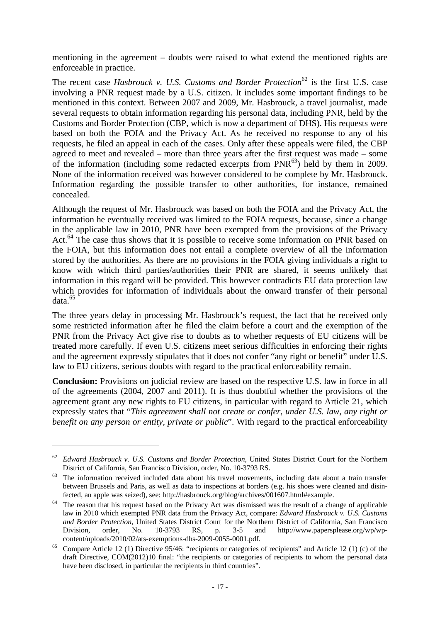mentioning in the agreement – doubts were raised to what extend the mentioned rights are enforceable in practice.

The recent case *Hasbrouck v. U.S. Customs and Border Protection*<sup>62</sup> is the first U.S. case involving a PNR request made by a U.S. citizen. It includes some important findings to be mentioned in this context. Between 2007 and 2009, Mr. Hasbrouck, a travel journalist, made several requests to obtain information regarding his personal data, including PNR, held by the Customs and Border Protection (CBP, which is now a department of DHS). His requests were based on both the FOIA and the Privacy Act. As he received no response to any of his requests, he filed an appeal in each of the cases. Only after these appeals were filed, the CBP agreed to meet and revealed – more than three years after the first request was made – some of the information (including some redacted excerpts from  $PNR<sup>63</sup>$ ) held by them in 2009. None of the information received was however considered to be complete by Mr. Hasbrouck. Information regarding the possible transfer to other authorities, for instance, remained concealed.

Although the request of Mr. Hasbrouck was based on both the FOIA and the Privacy Act, the information he eventually received was limited to the FOIA requests, because, since a change in the applicable law in 2010, PNR have been exempted from the provisions of the Privacy Act.<sup>64</sup> The case thus shows that it is possible to receive some information on PNR based on the FOIA, but this information does not entail a complete overview of all the information stored by the authorities. As there are no provisions in the FOIA giving individuals a right to know with which third parties/authorities their PNR are shared, it seems unlikely that information in this regard will be provided. This however contradicts EU data protection law which provides for information of individuals about the onward transfer of their personal data.65

The three years delay in processing Mr. Hasbrouck's request, the fact that he received only some restricted information after he filed the claim before a court and the exemption of the PNR from the Privacy Act give rise to doubts as to whether requests of EU citizens will be treated more carefully. If even U.S. citizens meet serious difficulties in enforcing their rights and the agreement expressly stipulates that it does not confer "any right or benefit" under U.S. law to EU citizens, serious doubts with regard to the practical enforceability remain.

**Conclusion:** Provisions on judicial review are based on the respective U.S. law in force in all of the agreements (2004, 2007 and 2011). It is thus doubtful whether the provisions of the agreement grant any new rights to EU citizens, in particular with regard to Article 21, which expressly states that "*This agreement shall not create or confer, under U.S. law, any right or benefit on any person or entity, private or public*". With regard to the practical enforceability

<sup>62</sup> *Edward Hasbrouck v. U.S. Customs and Border Protection*, United States District Court for the Northern District of California, San Francisco Division, order, No. 10-3793 RS.<br>The information received included data about his travel movements, including data about a train transfer

between Brussels and Paris, as well as data to inspections at borders (e.g. his shoes were cleaned and disin-

fected, an apple was seized), see: http://hasbrouck.org/blog/archives/001607.html#example.<br>The reason that his request based on the Privacy Act was dismissed was the result of a change of applicable law in 2010 which exempted PNR data from the Privacy Act, compare: *Edward Hasbrouck v. U.S. Customs and Border Protection*, United States District Court for the Northern District of California, San Francisco Division, order, No. 10-3793 RS, p. 3-5 and http://www.papersplease.org/wp/wp-

content/uploads/2010/02/ats-exemptions-dhs-2009-0055-0001.pdf.<br><sup>65</sup> Compare Article 12 (1) Directive 95/46: "recipients or categories of recipients" and Article 12 (1) (c) of the draft Directive, COM(2012)10 final: "the recipients or categories of recipients to whom the personal data have been disclosed, in particular the recipients in third countries".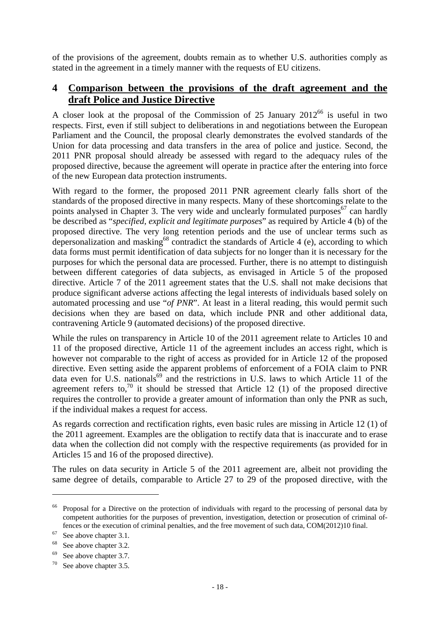of the provisions of the agreement, doubts remain as to whether U.S. authorities comply as stated in the agreement in a timely manner with the requests of EU citizens.

## **4 Comparison between the provisions of the draft agreement and the draft Police and Justice Directive**

A closer look at the proposal of the Commission of 25 January  $2012^{66}$  is useful in two respects. First, even if still subject to deliberations in and negotiations between the European Parliament and the Council, the proposal clearly demonstrates the evolved standards of the Union for data processing and data transfers in the area of police and justice. Second, the 2011 PNR proposal should already be assessed with regard to the adequacy rules of the proposed directive, because the agreement will operate in practice after the entering into force of the new European data protection instruments.

With regard to the former, the proposed 2011 PNR agreement clearly falls short of the standards of the proposed directive in many respects. Many of these shortcomings relate to the points analysed in Chapter 3. The very wide and unclearly formulated purposes<sup>67</sup> can hardly be described as "*specified, explicit and legitimate purposes*" as required by Article 4 (b) of the proposed directive. The very long retention periods and the use of unclear terms such as depersonalization and masking<sup>68</sup> contradict the standards of Article 4 (e), according to which data forms must permit identification of data subjects for no longer than it is necessary for the purposes for which the personal data are processed. Further, there is no attempt to distinguish between different categories of data subjects, as envisaged in Article 5 of the proposed directive. Article 7 of the 2011 agreement states that the U.S. shall not make decisions that produce significant adverse actions affecting the legal interests of individuals based solely on automated processing and use "*of PNR*". At least in a literal reading, this would permit such decisions when they are based on data, which include PNR and other additional data, contravening Article 9 (automated decisions) of the proposed directive.

While the rules on transparency in Article 10 of the 2011 agreement relate to Articles 10 and 11 of the proposed directive, Article 11 of the agreement includes an access right, which is however not comparable to the right of access as provided for in Article 12 of the proposed directive. Even setting aside the apparent problems of enforcement of a FOIA claim to PNR data even for U.S. nationals<sup>69</sup> and the restrictions in U.S. laws to which Article 11 of the agreement refers to,<sup>70</sup> it should be stressed that Article 12 (1) of the proposed directive requires the controller to provide a greater amount of information than only the PNR as such, if the individual makes a request for access.

As regards correction and rectification rights, even basic rules are missing in Article 12 (1) of the 2011 agreement. Examples are the obligation to rectify data that is inaccurate and to erase data when the collection did not comply with the respective requirements (as provided for in Articles 15 and 16 of the proposed directive).

The rules on data security in Article 5 of the 2011 agreement are, albeit not providing the same degree of details, comparable to Article 27 to 29 of the proposed directive, with the

<u>.</u>

<sup>&</sup>lt;sup>66</sup> Proposal for a Directive on the protection of individuals with regard to the processing of personal data by competent authorities for the purposes of prevention, investigation, detection or prosecution of criminal offences or the execution of criminal penalties, and the free movement of such data, COM(2012)10 final. See above chapter 3.1.

<sup>&</sup>lt;sup>68</sup> See above chapter 3.2.

<sup>69</sup> See above chapter 3.7.

 $70$  See above chapter 3.5.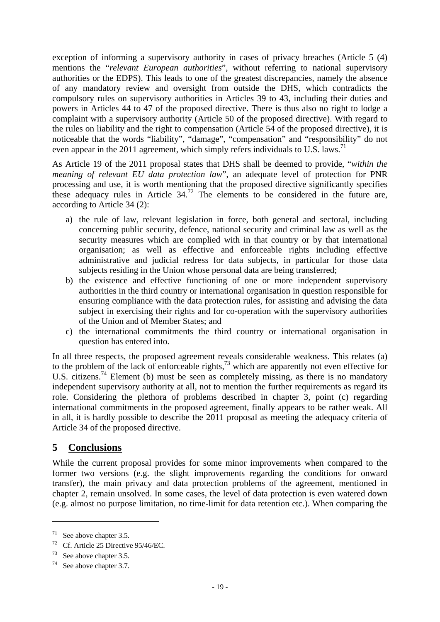exception of informing a supervisory authority in cases of privacy breaches (Article 5 (4) mentions the "*relevant European authorities*", without referring to national supervisory authorities or the EDPS). This leads to one of the greatest discrepancies, namely the absence of any mandatory review and oversight from outside the DHS, which contradicts the compulsory rules on supervisory authorities in Articles 39 to 43, including their duties and powers in Articles 44 to 47 of the proposed directive. There is thus also no right to lodge a complaint with a supervisory authority (Article 50 of the proposed directive). With regard to the rules on liability and the right to compensation (Article 54 of the proposed directive), it is noticeable that the words "liability", "damage", "compensation" and "responsibility" do not even appear in the 2011 agreement, which simply refers individuals to U.S. laws.<sup>71</sup>

As Article 19 of the 2011 proposal states that DHS shall be deemed to provide, "*within the meaning of relevant EU data protection law*", an adequate level of protection for PNR processing and use, it is worth mentioning that the proposed directive significantly specifies these adequacy rules in Article  $34<sup>72</sup>$ . The elements to be considered in the future are, according to Article 34 (2):

- a) the rule of law, relevant legislation in force, both general and sectoral, including concerning public security, defence, national security and criminal law as well as the security measures which are complied with in that country or by that international organisation; as well as effective and enforceable rights including effective administrative and judicial redress for data subjects, in particular for those data subjects residing in the Union whose personal data are being transferred;
- b) the existence and effective functioning of one or more independent supervisory authorities in the third country or international organisation in question responsible for ensuring compliance with the data protection rules, for assisting and advising the data subject in exercising their rights and for co-operation with the supervisory authorities of the Union and of Member States; and
- c) the international commitments the third country or international organisation in question has entered into.

In all three respects, the proposed agreement reveals considerable weakness. This relates (a) to the problem of the lack of enforceable rights,  $^{73}$  which are apparently not even effective for U.S. citizens.<sup>74</sup> Element (b) must be seen as completely missing, as there is no mandatory independent supervisory authority at all, not to mention the further requirements as regard its role. Considering the plethora of problems described in chapter 3, point (c) regarding international commitments in the proposed agreement, finally appears to be rather weak. All in all, it is hardly possible to describe the 2011 proposal as meeting the adequacy criteria of Article 34 of the proposed directive.

## **5 Conclusions**

While the current proposal provides for some minor improvements when compared to the former two versions (e.g. the slight improvements regarding the conditions for onward transfer), the main privacy and data protection problems of the agreement, mentioned in chapter 2, remain unsolved. In some cases, the level of data protection is even watered down (e.g. almost no purpose limitation, no time-limit for data retention etc.). When comparing the

 $71$  See above chapter 3.5.

<sup>72</sup> Cf. Article 25 Directive 95/46/EC.

<sup>73</sup> See above chapter 3.5.

 $74$  See above chapter 3.7.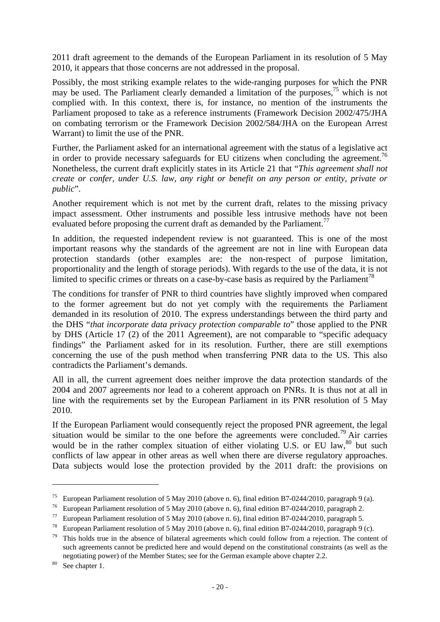2011 draft agreement to the demands of the European Parliament in its resolution of 5 May 2010, it appears that those concerns are not addressed in the proposal.

Possibly, the most striking example relates to the wide-ranging purposes for which the PNR may be used. The Parliament clearly demanded a limitation of the purposes,  $75$  which is not complied with. In this context, there is, for instance, no mention of the instruments the Parliament proposed to take as a reference instruments (Framework Decision 2002/475/JHA on combating terrorism or the Framework Decision 2002/584/JHA on the European Arrest Warrant) to limit the use of the PNR.

Further, the Parliament asked for an international agreement with the status of a legislative act in order to provide necessary safeguards for EU citizens when concluding the agreement.<sup>76</sup> Nonetheless, the current draft explicitly states in its Article 21 that "*This agreement shall not create or confer, under U.S. law, any right or benefit on any person or entity, private or public*".

Another requirement which is not met by the current draft, relates to the missing privacy impact assessment. Other instruments and possible less intrusive methods have not been evaluated before proposing the current draft as demanded by the Parliament.<sup>77</sup>

In addition, the requested independent review is not guaranteed. This is one of the most important reasons why the standards of the agreement are not in line with European data protection standards (other examples are: the non-respect of purpose limitation, proportionality and the length of storage periods). With regards to the use of the data, it is not limited to specific crimes or threats on a case-by-case basis as required by the Parliament<sup>78</sup>

The conditions for transfer of PNR to third countries have slightly improved when compared to the former agreement but do not yet comply with the requirements the Parliament demanded in its resolution of 2010. The express understandings between the third party and the DHS "*that incorporate data privacy protection comparable to*" those applied to the PNR by DHS (Article 17 (2) of the 2011 Agreement), are not comparable to "specific adequacy findings" the Parliament asked for in its resolution. Further, there are still exemptions concerning the use of the push method when transferring PNR data to the US. This also contradicts the Parliament's demands.

All in all, the current agreement does neither improve the data protection standards of the 2004 and 2007 agreements nor lead to a coherent approach on PNRs. It is thus not at all in line with the requirements set by the European Parliament in its PNR resolution of 5 May 2010.

If the European Parliament would consequently reject the proposed PNR agreement, the legal situation would be similar to the one before the agreements were concluded.<sup>79</sup> Air carries would be in the rather complex situation of either violating U.S. or EU law,  $80$  but such conflicts of law appear in other areas as well when there are diverse regulatory approaches. Data subjects would lose the protection provided by the 2011 draft: the provisions on

<u>.</u>

<sup>&</sup>lt;sup>75</sup> European Parliament resolution of 5 May 2010 (above n. 6), final edition B7-0244/2010, paragraph 9 (a).<br><sup>76</sup> European Parliament resolution of 5 May 2010 (above n. 6), final edition B7-0244/2010, paragraph 2.

<sup>&</sup>lt;sup>77</sup> European Parliament resolution of 5 May 2010 (above n. 6), final edition B7-0244/2010, paragraph 5.

<sup>&</sup>lt;sup>78</sup> European Parliament resolution of 5 May 2010 (above n. 6), final edition B7-0244/2010, paragraph 9 (c).<br><sup>79</sup> This holds true in the absence of bilateral agreements which could follow from a rejection. The content of such agreements cannot be predicted here and would depend on the constitutional constraints (as well as the negotiating power) of the Member States; see for the German example above chapter 2.2. See chapter 1.